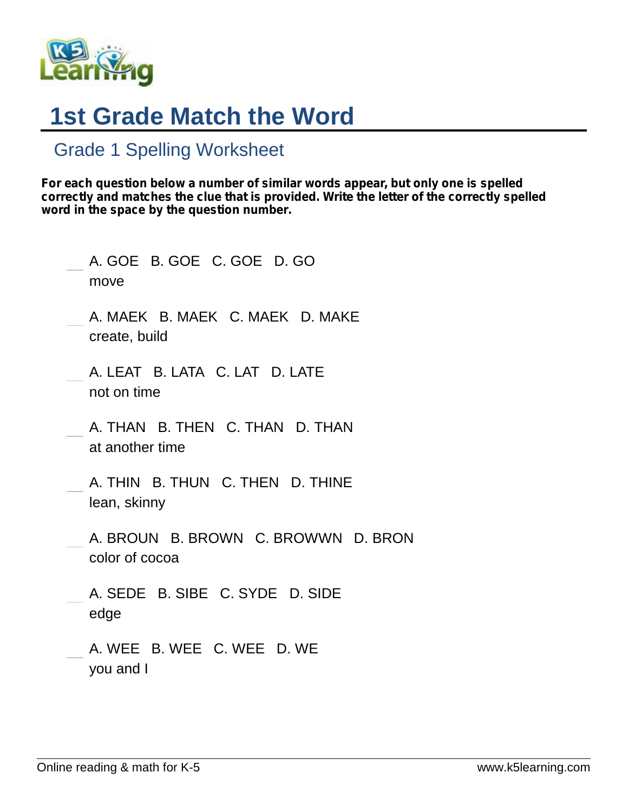

## **1st Grade Match the Word**

## Grade 1 Spelling Worksheet

*For each question below a number of similar words appear, but only one is spelled correctly and matches the clue that is provided. Write the letter of the correctly spelled word in the space by the question number.*

| A. GOE B. GOE C. GOE D. GO<br>move                    |
|-------------------------------------------------------|
| A. MAEK B. MAEK C. MAEK D. MAKE<br>create, build      |
| A. LEAT B. LATA C. LAT D. LATE<br>not on time         |
| A. THAN B. THEN C. THAN D. THAN<br>at another time    |
| A. THIN B. THUN C. THEN D. THINE<br>lean, skinny      |
| A. BROUN B. BROWN C. BROWWN D. BRON<br>color of cocoa |
| A. SEDE B. SIBE C. SYDE D. SIDE<br>edge               |
| A. WEE B. WEE C. WEE D. WE<br>you and I               |